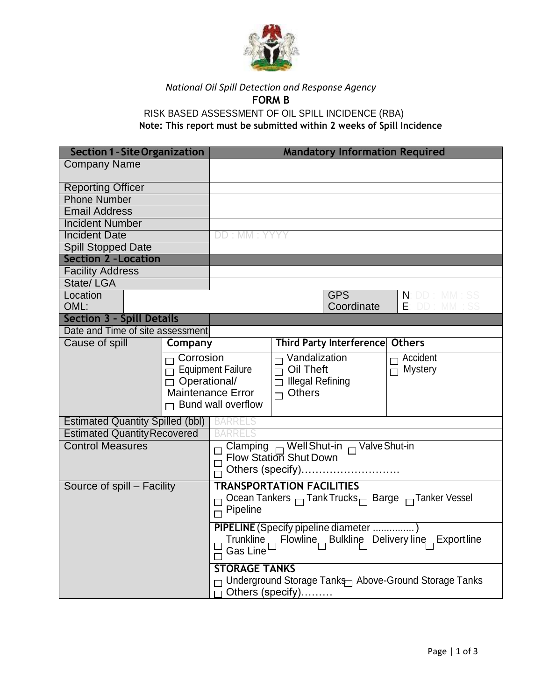

## *National Oil Spill Detection and Response Agency* **FORM B**

RISK BASED ASSESSMENT OF OIL SPILL INCIDENCE (RBA) **Note: This report must be submitted within 2 weeks of Spill Incidence**

| <b>Section 1 - Site Organization</b>                                           |         |                                                                                                                                                          |  | <b>Mandatory Information Required</b>       |                          |
|--------------------------------------------------------------------------------|---------|----------------------------------------------------------------------------------------------------------------------------------------------------------|--|---------------------------------------------|--------------------------|
| <b>Company Name</b>                                                            |         |                                                                                                                                                          |  |                                             |                          |
| <b>Reporting Officer</b>                                                       |         |                                                                                                                                                          |  |                                             |                          |
| <b>Phone Number</b>                                                            |         |                                                                                                                                                          |  |                                             |                          |
| <b>Email Address</b>                                                           |         |                                                                                                                                                          |  |                                             |                          |
| <b>Incident Number</b>                                                         |         |                                                                                                                                                          |  |                                             |                          |
| <b>Incident Date</b>                                                           |         | DD: MM: YYY                                                                                                                                              |  |                                             |                          |
| <b>Spill Stopped Date</b>                                                      |         |                                                                                                                                                          |  |                                             |                          |
| <b>Section 2 - Location</b>                                                    |         |                                                                                                                                                          |  |                                             |                          |
| <b>Facility Address</b>                                                        |         |                                                                                                                                                          |  |                                             |                          |
| State/LGA                                                                      |         |                                                                                                                                                          |  |                                             |                          |
| Location<br>OML:                                                               |         |                                                                                                                                                          |  | <b>GPS</b><br>Coordinate                    | N:DD:MM:SS<br>E: DD: MM: |
| <b>Section 3 - Spill Details</b>                                               |         |                                                                                                                                                          |  |                                             |                          |
| Date and Time of site assessment                                               |         |                                                                                                                                                          |  |                                             |                          |
| Cause of spill                                                                 | Company |                                                                                                                                                          |  | Third Party Interference                    | <b>Others</b>            |
| $\Box$ Corrosion<br>$\overline{\Box}$ Equipment Failure<br>$\Box$ Operational/ |         | $\Box$ Vandalization<br>$\overline{\cap}$ Oil Theft<br>$\Box$ Illegal Refining<br><b>Maintenance Error</b><br>$\Box$ Others<br>$\Box$ Bund wall overflow |  | $\Box$ Accident<br>$\overline{\Pi}$ Mystery |                          |
| <b>Estimated Quantity Spilled (bbl)</b>                                        |         | <b>BARRELS</b>                                                                                                                                           |  |                                             |                          |
| <b>Estimated Quantity Recovered</b>                                            |         |                                                                                                                                                          |  |                                             |                          |
| <b>Control Measures</b>                                                        |         | Clamping $\Box$ Well Shut-in $\Box$ Valve Shut-in<br>Flow Station Shut Down<br>Others (specify)                                                          |  |                                             |                          |
| Source of spill - Facility                                                     |         | <b>TRANSPORTATION FACILITIES</b><br>Ocean Tankers $\Box$ Tank Trucks $\Box$ Barge $\Box$ Tanker Vessel<br>Pipeline                                       |  |                                             |                          |
|                                                                                |         | PIPELINE (Specify pipeline diameter )<br>Trunkline <sup>D</sup> Flowline Bulkline Delivery line Exportline<br>Gas Line $\Box$                            |  |                                             |                          |
|                                                                                |         | <b>STORAGE TANKS</b><br>□ Underground Storage Tanks Above-Ground Storage Tanks<br>$\Box$ Others (specify)                                                |  |                                             |                          |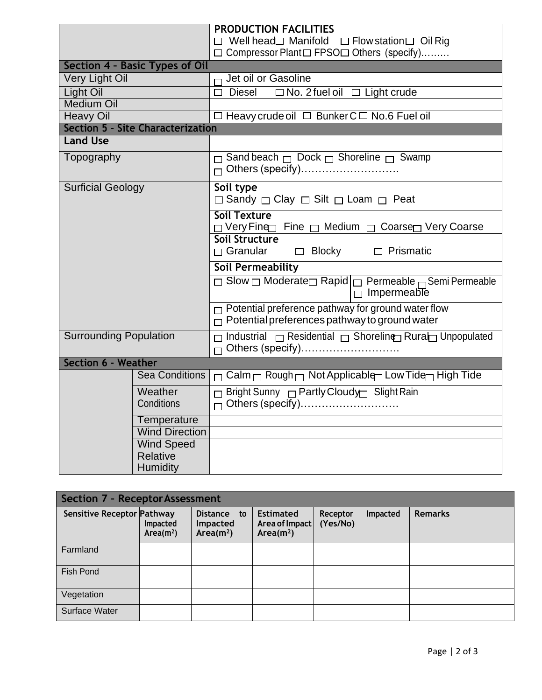|                                          |                             | <b>PRODUCTION FACILITIES</b><br>$\Box$ Well head $\Box$ Manifold $\Box$ Flow station $\Box$ Oil Rig<br>□ Compressor Plant□ FPSO□ Others (specify) |  |  |
|------------------------------------------|-----------------------------|---------------------------------------------------------------------------------------------------------------------------------------------------|--|--|
| <b>Section 4 - Basic Types of Oil</b>    |                             |                                                                                                                                                   |  |  |
| Very Light Oil                           |                             | $\Box$ Jet oil or Gasoline                                                                                                                        |  |  |
| <b>Light Oil</b>                         |                             | $\Box$ Diesel<br>$\Box$ No. 2 fuel oil $\Box$ Light crude                                                                                         |  |  |
| <b>Medium Oil</b>                        |                             |                                                                                                                                                   |  |  |
| <b>Heavy Oil</b>                         |                             | $\Box$ Heavy crude oil $\Box$ Bunker $C \Box$ No.6 Fuel oil                                                                                       |  |  |
| <b>Section 5 - Site Characterization</b> |                             |                                                                                                                                                   |  |  |
| <b>Land Use</b>                          |                             |                                                                                                                                                   |  |  |
| Topography                               |                             | $\Box$ Sand beach $\Box$ Dock $\Box$ Shoreline $\Box$ Swamp                                                                                       |  |  |
| <b>Surficial Geology</b>                 |                             | Soil type<br>$\Box$ Sandy $\Box$ Clay $\Box$ Silt $\Box$ Loam $\Box$ Peat                                                                         |  |  |
|                                          |                             | Soil Texture<br>$\Box$ Very Fine $\Box$ Medium $\Box$ Coarse Very Coarse                                                                          |  |  |
|                                          |                             | Soil Structure<br>□ Granular □ Blocky □ Prismatic                                                                                                 |  |  |
|                                          |                             | <b>Soil Permeability</b>                                                                                                                          |  |  |
|                                          |                             | □ Slow □ Moderate□ Rapid □ Permeable <sub>□</sub> Semi Permeable<br>$\Box$ Impermeable                                                            |  |  |
|                                          |                             | $\Box$ Potential preference pathway for ground water flow<br>$\Box$ Potential preferences pathway to ground water                                 |  |  |
| <b>Surrounding Population</b>            |                             | □ Industrial □ Residential □ Shoreline Rural Unpopulated                                                                                          |  |  |
| <b>Section 6 - Weather</b>               |                             |                                                                                                                                                   |  |  |
|                                          | <b>Sea Conditions</b>       | $\Box$ Calm $\Box$ Rough $\Box$ Not Applicable $\Box$ Low Tide $\Box$ High Tide                                                                   |  |  |
|                                          | Weather                     | □ Bright Sunny □ Partly Cloudy□ Slight Rain                                                                                                       |  |  |
|                                          | Conditions                  |                                                                                                                                                   |  |  |
|                                          | Temperature                 |                                                                                                                                                   |  |  |
|                                          | <b>Wind Direction</b>       |                                                                                                                                                   |  |  |
|                                          | <b>Wind Speed</b>           |                                                                                                                                                   |  |  |
|                                          | Relative<br><b>Humidity</b> |                                                                                                                                                   |  |  |

| <b>Section 7 - Receptor Assessment</b> |                                   |                                                            |                                                             |                      |                 |                |
|----------------------------------------|-----------------------------------|------------------------------------------------------------|-------------------------------------------------------------|----------------------|-----------------|----------------|
| Sensitive Receptor Pathway             | Impacted<br>Area(m <sup>2</sup> ) | <b>Distance</b><br>to<br>Impacted<br>Area(m <sup>2</sup> ) | <b>Estimated</b><br>Area of Impact<br>Area(m <sup>2</sup> ) | Receptor<br>(Yes/No) | <b>Impacted</b> | <b>Remarks</b> |
| Farmland                               |                                   |                                                            |                                                             |                      |                 |                |
| Fish Pond                              |                                   |                                                            |                                                             |                      |                 |                |
| Vegetation                             |                                   |                                                            |                                                             |                      |                 |                |
| <b>Surface Water</b>                   |                                   |                                                            |                                                             |                      |                 |                |